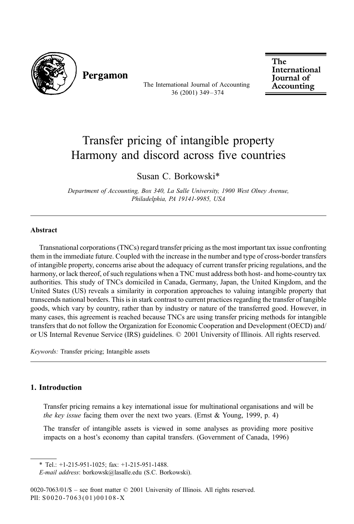

Pergamon

The International Journal of Accounting 36 (2001) 349 – 374

The International **Journal** of Accounting

## Transfer pricing of intangible property Harmony and discord across five countries

Susan C. Borkowski\*

Department of Accounting, Box 340, La Salle University, 1900 West Olney Avenue, Philadelphia, PA 19141-9985, USA

## Abstract

Transnational corporations (TNCs) regard transfer pricing as the most important tax issue confronting them in the immediate future. Coupled with the increase in the number and type of cross-border transfers of intangible property, concerns arise about the adequacy of current transfer pricing regulations, and the harmony, or lack thereof, of such regulations when a TNC must address both host- and home-country tax authorities. This study of TNCs domiciled in Canada, Germany, Japan, the United Kingdom, and the United States (US) reveals a similarity in corporation approaches to valuing intangible property that transcends national borders. This is in stark contrast to current practices regarding the transfer of tangible goods, which vary by country, rather than by industry or nature of the transferred good. However, in many cases, this agreement is reached because TNCs are using transfer pricing methods for intangible transfers that do not follow the Organization for Economic Cooperation and Development (OECD) and/ or US Internal Revenue Service (IRS) guidelines. © 2001 University of Illinois. All rights reserved.

Keywords: Transfer pricing; Intangible assets

## 1. Introduction

Transfer pricing remains a key international issue for multinational organisations and will be the key issue facing them over the next two years. (Ernst  $& Young, 1999, p. 4$ )

The transfer of intangible assets is viewed in some analyses as providing more positive impacts on a host's economy than capital transfers. (Government of Canada, 1996)

\* Tel.: +1-215-951-1025; fax: +1-215-951-1488.

E-mail address: borkowsk@lasalle.edu (S.C. Borkowski).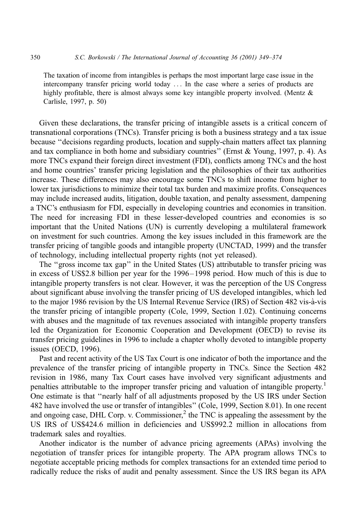The taxation of income from intangibles is perhaps the most important large case issue in the intercompany transfer pricing world today ... In the case where a series of products are highly profitable, there is almost always some key intangible property involved. (Mentz & Carlisle, 1997, p. 50)

Given these declarations, the transfer pricing of intangible assets is a critical concern of transnational corporations (TNCs). Transfer pricing is both a business strategy and a tax issue because ''decisions regarding products, location and supply-chain matters affect tax planning and tax compliance in both home and subsidiary countries" (Ernst  $& Young, 1997, p. 4$ ). As more TNCs expand their foreign direct investment (FDI), conflicts among TNCs and the host and home countries' transfer pricing legislation and the philosophies of their tax authorities increase. These differences may also encourage some TNCs to shift income from higher to lower tax jurisdictions to minimize their total tax burden and maximize profits. Consequences may include increased audits, litigation, double taxation, and penalty assessment, dampening a TNC's enthusiasm for FDI, especially in developing countries and economies in transition. The need for increasing FDI in these lesser-developed countries and economies is so important that the United Nations (UN) is currently developing a multilateral framework on investment for such countries. Among the key issues included in this framework are the transfer pricing of tangible goods and intangible property (UNCTAD, 1999) and the transfer of technology, including intellectual property rights (not yet released).

The ''gross income tax gap'' in the United States (US) attributable to transfer pricing was in excess of US\$2.8 billion per year for the 1996–1998 period. How much of this is due to intangible property transfers is not clear. However, it was the perception of the US Congress about significant abuse involving the transfer pricing of US developed intangibles, which led to the major 1986 revision by the US Internal Revenue Service (IRS) of Section 482 vis-a`-vis the transfer pricing of intangible property (Cole, 1999, Section 1.02). Continuing concerns with abuses and the magnitude of tax revenues associated with intangible property transfers led the Organization for Economic Cooperation and Development (OECD) to revise its transfer pricing guidelines in 1996 to include a chapter wholly devoted to intangible property issues (OECD, 1996).

Past and recent activity of the US Tax Court is one indicator of both the importance and the prevalence of the transfer pricing of intangible property in TNCs. Since the Section 482 revision in 1986, many Tax Court cases have involved very significant adjustments and penalties attributable to the improper transfer pricing and valuation of intangible property.<sup>1</sup> One estimate is that ''nearly half of all adjustments proposed by the US IRS under Section 482 have involved the use or transfer of intangibles'' (Cole, 1999, Section 8.01). In one recent and ongoing case, DHL Corp. v. Commissioner,<sup>2</sup> the TNC is appealing the assessment by the US IRS of US\$424.6 million in deficiencies and US\$992.2 million in allocations from trademark sales and royalties.

Another indicator is the number of advance pricing agreements (APAs) involving the negotiation of transfer prices for intangible property. The APA program allows TNCs to negotiate acceptable pricing methods for complex transactions for an extended time period to radically reduce the risks of audit and penalty assessment. Since the US IRS began its APA